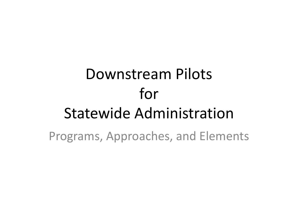## Downstream Pilots for **Statewide Administration** Programs, Approaches, and Elements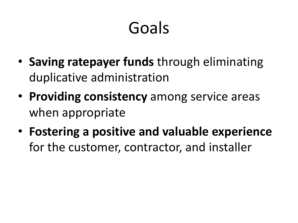## Goals

- Saving ratepayer funds through eliminating duplicative administration
- **Providing consistency** among service areas when appropriate
- Fostering a positive and valuable experience for the customer, contractor, and installer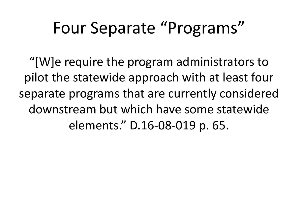#### Four Separate "Programs"

"[W]e require the program administrators to pilot the statewide approach with at least four separate programs that are currently considered downstream but which have some statewide elements." D.16-08-019 p. 65.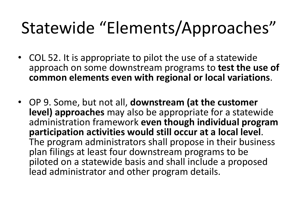### Statewide "Elements/Approaches"

- COL 52. It is appropriate to pilot the use of a statewide approach on some downstream programs to **test the use of common elements even with regional or local variations**.
- OP 9. Some, but not all, **downstream (at the customer level) approaches** may also be appropriate for a statewide administration framework even though individual program<br>
participation activities would still occur at a local level. The program administrators shall propose in their business plan filings at least four downstream programs to be piloted on a statewide basis and shall include a proposed lead administrator and other program details.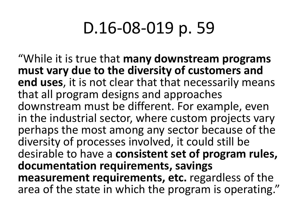#### D.16-08-019 p. 59

"While it is true that **many downstream programs** must vary due to the diversity of customers and **end uses, it is not clear that that necessarily means** that all program designs and approaches downstream must be different. For example, even in the industrial sector, where custom projects vary perhaps the most among any sector because of the diversity of processes involved, it could still be desirable to have a **consistent set of program rules**, documentation requirements, savings **measurement requirements, etc.** regardless of the area of the state in which the program is operating."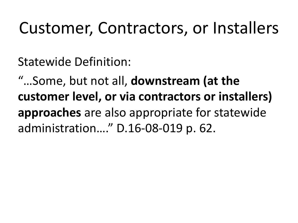#### Customer, Contractors, or Installers

Statewide Definition:

"...Some, but not all, **downstream** (at the customer level, or via contractors or installers) **approaches** are also appropriate for statewide administration...." D.16-08-019 p. 62.